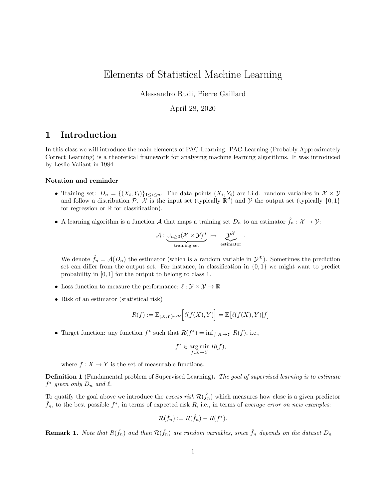# Elements of Statistical Machine Learning

Alessandro Rudi, Pierre Gaillard

#### April 28, 2020

## 1 Introduction

In this class we will introduce the main elements of PAC-Learning. PAC-Learning (Probably Approximately Correct Learning) is a theoretical framework for analysing machine learning algorithms. It was introduced by Leslie Valiant in 1984.

#### Notation and reminder

- Training set:  $D_n = \{(X_i, Y_i)\}_{1 \leq i \leq n}$ . The data points  $(X_i, Y_i)$  are i.i.d. random variables in  $\mathcal{X} \times \mathcal{Y}$ and follow a distribution P.  $\mathcal{X}$  is the input set (typically  $\mathbb{R}^d$ ) and Y the output set (typically  $\{0,1\}$ ) for regression or  $\mathbb R$  for classification).
- A learning algorithm is a function A that maps a training set  $D_n$  to an estimator  $\hat{f}_n : \mathcal{X} \to \mathcal{Y}$ :

$$
\mathcal{A} : \underbrace{\cup_{n\geq 0}(\mathcal{X}\times\mathcal{Y})^n}_{\text{training set}} \,\,\mapsto\,\,\underbrace{\mathcal{Y}^{\mathcal{X}}}_{\text{estimator}}\,\,.
$$

We denote  $\hat{f}_n = \mathcal{A}(D_n)$  the estimator (which is a random variable in  $\mathcal{Y}^{\mathcal{X}}$ ). Sometimes the prediction set can differ from the output set. For instance, in classification in  $\{0,1\}$  we might want to predict probability in [0, 1] for the output to belong to class 1.

- Loss function to measure the performance:  $\ell : \mathcal{Y} \times \mathcal{Y} \to \mathbb{R}$
- Risk of an estimator (statistical risk)

$$
R(f) := \mathbb{E}_{(X,Y)\sim \mathcal{P}}\Big[\ell(f(X),Y)\Big] = \mathbb{E}\big[\ell(f(X),Y)|f\big]
$$

• Target function: any function  $f^*$  such that  $R(f^*) = \inf_{f:X \to Y} R(f)$ , i.e.,

$$
f^* \in \operatorname*{arg\,min}_{f:X \to Y} R(f),
$$

where  $f: X \to Y$  is the set of measurable functions.

**Definition 1** (Fundamental problem of Supervised Learning). The goal of supervised learning is to estimate  $f^*$  given only  $D_n$  and  $\ell$ .

To quatify the goal above we introduce the *excess risk*  $\mathcal{R}(\hat{f}_n)$  which measures how close is a given predictor  $\hat{f}_n$ , to the best possible  $f^*$ , in terms of expected risk R, i.e., in terms of average error on new examples:

$$
\mathcal{R}(\hat{f}_n) := R(\hat{f}_n) - R(f^*).
$$

**Remark 1.** Note that  $R(\hat{f}_n)$  and then  $\mathcal{R}(\hat{f}_n)$  are random variables, since  $\hat{f}_n$  depends on the dataset  $D_n$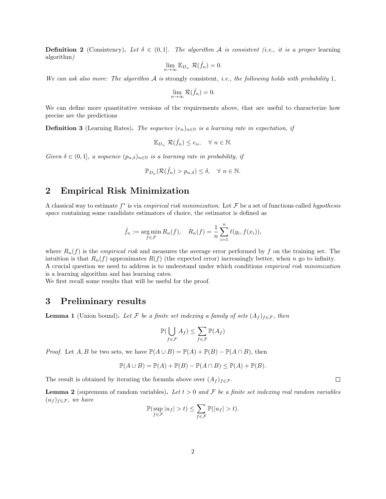**Definition 2** (Consistency). Let  $\delta \in (0,1]$ . The algorithm A is consistent (i.e., it is a proper learning algorithm)

$$
\lim_{n \to \infty} \mathbb{E}_{D_n} \ \mathcal{R}(\hat{f}_n) = 0.
$$

We can ask also more: The algorithm  $\mathcal A$  is strongly consistent, i.e., the following holds with probability 1,

$$
\lim_{n \to \infty} \mathcal{R}(\hat{f}_n) = 0.
$$

We can define more quantitative versions of the requirements above, that are useful to characterize how precise are the predictions

**Definition 3** (Learning Rates). The sequence  $(e_n)_{n\in\mathbb{N}}$  is a learning rate in expectation, if

$$
\mathbb{E}_{D_n} \mathcal{R}(\hat{f}_n) \le e_n, \quad \forall \ n \in \mathbb{N}.
$$

Given  $\delta \in (0,1]$ , a sequence  $(p_{n,\delta})_{n\in\mathbb{N}}$  is a learning rate in probability, if

$$
\mathbb{P}_{D_n}(\mathcal{R}(\hat{f}_n) > p_{n,\delta}) \le \delta, \quad \forall \ n \in \mathbb{N}.
$$

## 2 Empirical Risk Minimization

A classical way to estimate  $f^*$  is via empirical risk minimization. Let F be a set of functions called hypothesis space containing some candidate estimators of choice, the estimator is defined as

$$
\hat{f}_n := \underset{f \in \mathcal{F}}{\arg \min} R_n(f), \quad R_n(f) = \frac{1}{n} \sum_{i=1}^n \ell(y_i, f(x_i)),
$$

where  $R_n(f)$  is the *empirical risk* and measures the average error performed by f on the training set. The intuition is that  $R_n(f)$  approximates  $R(f)$  (the expected error) increasingly better, when n go to infinity. A crucial question we need to address is to understand under which conditions empirical risk minimization is a learning algorithm and has learning rates.

We first recall some results that will be useful for the proof.

### 3 Preliminary results

**Lemma 1** (Union bound). Let F be a finite set indexing a family of sets  $(A_f)_{f \in \mathcal{F}}$ , then

$$
\mathbb{P}(\bigcup_{f \in \mathcal{F}} A_f) \le \sum_{f \in \mathcal{F}} \mathbb{P}(A_f)
$$

*Proof.* Let A, B be two sets, we have  $\mathbb{P}(A \cup B) = \mathbb{P}(A) + \mathbb{P}(B) - \mathbb{P}(A \cap B)$ , then

$$
\mathbb{P}(A \cup B) = \mathbb{P}(A) + \mathbb{P}(B) - \mathbb{P}(A \cap B) \le \mathbb{P}(A) + \mathbb{P}(B).
$$

The result is obtained by iterating the formula above over  $(A_f)_{f \in \mathcal{F}}$ .

**Lemma 2** (supremum of random variables). Let  $t > 0$  and F be a finite set indexing real random variables  $(u_f)_{f \in \mathcal{F}}$ , we have

$$
\mathbb{P}(\sup_{f \in \mathcal{F}} |u_f| > t) \le \sum_{f \in \mathcal{F}} \mathbb{P}(|u_f| > t).
$$

 $\Box$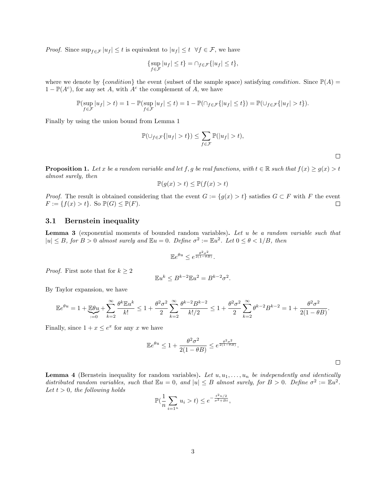*Proof.* Since  $\sup_{f \in \mathcal{F}} |u_f| \leq t$  is equivalent to  $|u_f| \leq t \quad \forall f \in \mathcal{F}$ , we have

$$
\{\sup_{f \in \mathcal{F}} |u_f| \le t\} = \cap_{f \in \mathcal{F}} \{|u_f| \le t\},\
$$

where we denote by  $\{condition\}$  the event (subset of the sample space) satisfying condition. Since  $\mathbb{P}(A)$  =  $1 - \mathbb{P}(A^c)$ , for any set A, with  $A^c$  the complement of A, we have

$$
\mathbb{P}(\sup_{f\in\mathcal{F}}|u_f|>t)=1-\mathbb{P}(\sup_{f\in\mathcal{F}}|u_f|\leq t)=1-\mathbb{P}(\cap_{f\in\mathcal{F}}\{|u_f|\leq t\})=\mathbb{P}(\cup_{f\in\mathcal{F}}\{|u_f|>t\}).
$$

Finally by using the union bound from Lemma 1

$$
\mathbb{P}(\bigcup_{f \in \mathcal{F}} \{|u_f| > t\}) \le \sum_{f \in \mathcal{F}} \mathbb{P}(|u_f| > t),
$$

 $\Box$ 

**Proposition 1.** Let x be a random variable and let f, g be real functions, with  $t \in \mathbb{R}$  such that  $f(x) \ge g(x) > t$ almost surely, then

$$
\mathbb{P}(g(x) > t) \le \mathbb{P}(f(x) > t)
$$

*Proof.* The result is obtained considering that the event  $G := \{g(x) > t\}$  satisfies  $G \subset F$  with F the event  $F := \{f(x) > t\}.$  So  $\mathbb{P}(G) \leq \mathbb{P}(F).$  $\Box$ 

#### 3.1 Bernstein inequality

Lemma 3 (exponential moments of bounded random variables). Let u be a random variable such that  $|u| \leq B$ , for  $B > 0$  almost surely and  $\mathbb{E}u = 0$ . Define  $\sigma^2 := \mathbb{E}u^2$ . Let  $0 \leq \theta < 1/B$ , then

$$
\mathbb{E}e^{\theta u} \le e^{\frac{\theta^2 \sigma^2}{2(1-\theta B)}}.
$$

*Proof.* First note that for  $k \geq 2$ 

$$
\mathbb{E}u^k \le B^{k-2}\mathbb{E}u^2 = B^{k-2}\sigma^2.
$$

By Taylor expansion, we have

$$
\mathbb{E}e^{\theta u} = 1 + \underbrace{\mathbb{E}\theta u}_{k=0} + \sum_{k=2}^{\infty} \frac{\theta^k \mathbb{E}u^k}{k!} \le 1 + \frac{\theta^2 \sigma^2}{2} \sum_{k=2}^{\infty} \frac{\theta^{k-2} B^{k-2}}{k!/2} \le 1 + \frac{\theta^2 \sigma^2}{2} \sum_{k=2}^{\infty} \theta^{k-2} B^{k-2} = 1 + \frac{\theta^2 \sigma^2}{2(1 - \theta B)}.
$$

Finally, since  $1 + x \leq e^x$  for any x we have

$$
\mathbb{E}e^{\theta u} \le 1 + \frac{\theta^2 \sigma^2}{2(1 - \theta B)} \le e^{\frac{\theta^2 \sigma^2}{2(1 - \theta B)}}.
$$

**Lemma 4** (Bernstein inequality for random variables). Let  $u, u_1, \ldots, u_n$  be independently and identically distributed random variables, such that  $\mathbb{E}u = 0$ , and  $|u| \leq B$  almost surely, for  $B > 0$ . Define  $\sigma^2 := \mathbb{E}u^2$ . Let  $t > 0$ , the following holds

$$
\mathbb{P}(\frac{1}{n}\sum_{i=1^n}u_i > t) \le e^{-\frac{t^2n/2}{\sigma^2 + Bt}},
$$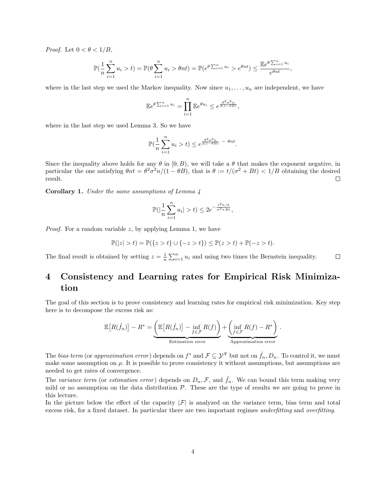*Proof.* Let  $0 < \theta < 1/B$ ,

$$
\mathbb{P}(\frac{1}{n}\sum_{i=1}^n u_i > t) = \mathbb{P}(\theta \sum_{i=1}^n u_i > \theta nt) = \mathbb{P}(e^{\theta \sum_{i=1}^n u_i} > e^{\theta nt}) \le \frac{\mathbb{E}e^{\theta \sum_{i=1}^n u_i}}{e^{\theta nt}},
$$

where in the last step we used the Markov inequality. Now since  $u_1, \ldots, u_n$  are independent, we have

$$
\mathbb{E}e^{\theta \sum_{i=1}^n u_i} = \prod_{i=1}^n \mathbb{E}e^{\theta u_i} \leq e^{\frac{\theta^2 \sigma^2 n}{2(1-\theta B)}},
$$

where in the last step we used Lemma 3. So we have

$$
\mathbb{P}(\frac{1}{n}\sum_{i=1}^n u_i > t) \leq e^{\frac{\theta^2 \sigma^2 n}{2(1-\theta B)}} - \theta nt.
$$

Since the inequality above holds for any  $\theta$  in [0, B), we will take a  $\theta$  that makes the exponent negative, in particular the one satisfying  $\theta nt = \theta^2 \sigma^2 n/(1 - \theta B)$ , that is  $\theta := t/(\sigma^2 + Bt) < 1/B$  obtaining the desired result.  $\Box$ 

Corollary 1. Under the same assumptions of Lemma 4

$$
\mathbb{P}(|\frac{1}{n}\sum_{i=1}^n u_i| > t) \le 2e^{-\frac{t^2n/2}{\sigma^2 + Bt}},
$$

*Proof.* For a random variable  $z$ , by applying Lemma 1, we have

$$
\mathbb{P}(|z| > t) = \mathbb{P}(\{z > t\} \cup \{-z > t\}) \le \mathbb{P}(z > t) + \mathbb{P}(-z > t).
$$

The final result is obtained by setting  $z = \frac{1}{n} \sum_{i=1}^{n} u_i$  and using two times the Bernstein inequality.  $\Box$ 

# 4 Consistency and Learning rates for Empirical Risk Minimization

The goal of this section is to prove consistency and learning rates for empirical risk minimization. Key step here is to decompose the excess risk as:

$$
\mathbb{E}\left[R(\hat{f}_n)\right] - R^* = \underbrace{\left(\mathbb{E}\left[R(\hat{f}_n)\right] - \inf_{f \in \mathcal{F}} R(f)\right)}_{\text{Estimation error}} + \underbrace{\left(\inf_{f \in \mathcal{F}} R(f) - R^*\right)}_{\text{Approximation error}}.
$$

The bias term (or approximation error) depends on  $f^*$  and  $\mathcal{F} \subseteq \mathcal{Y}^{\mathcal{X}}$  but not on  $\hat{f}_n, D_n$ . To control it, we must make some assumption on  $\rho$ . It is possible to prove consistency it without assumptions, but assumptions are needed to get rates of convergence.

The variance term (or estimation error) depends on  $D_n, \mathcal{F}$ , and  $\hat{f}_n$ . We can bound this term making very mild or no assumption on the data distribution  $P$ . These are the type of results we are going to prove in this lecture.

In the picture below the effect of the capacity  $|\mathcal{F}|$  is analyzed on the variance term, bias term and total excess risk, for a fixed dataset. In particular there are two important regimes underfitting and overfitting.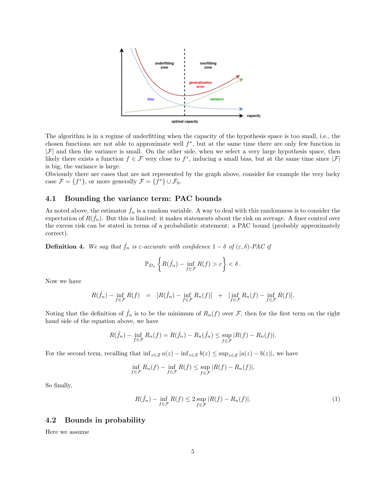

The algorithm is in a regime of underfitting when the capacity of the hypothesis space is too small, i.e., the chosen functions are not able to approximate well  $f^*$ , but at the same time there are only few function in  $|\mathcal{F}|$  and then the variance is small. On the other side, when we select a very large hypothesis space, then likely there exists a function  $f \in \mathcal{F}$  very close to  $f^*$ , inducing a small bias, but at the same time since  $|\mathcal{F}|$ is big, the variance is large.

Obviously there are cases that are not represented by the graph above, consider for example the very lucky case  $\mathcal{F} = \{f^*\},$  or more generally  $\mathcal{F} = \{f^*\} \cup \mathcal{F}_0$ .

#### 4.1 Bounding the variance term: PAC bounds

As noted above, the estimator  $f_n$  is a random variable. A way to deal with this randomness is to consider the expectation of  $R(\hat{f}_n)$ . But this is limited: it makes statements about the risk on average. A finer control over the excess risk can be stated in terms of a probabilistic statement: a PAC bound (probably approximately correct).

**Definition 4.** We say that  $\hat{f}_n$  is  $\varepsilon$ -accurate with confidence  $1 - \delta$  of  $(\varepsilon, \delta)$ -PAC if

$$
\mathbb{P}_{D_n}\left\{R(\hat{f}_n)-\inf_{f\in\mathcal{F}}R(f)>\varepsilon\right\}<\delta.
$$

Now we have

$$
R(\hat{f}_n) - \inf_{f \in \mathcal{F}} R(f) = [R(\hat{f}_n) - \inf_{f \in \mathcal{F}} R_n(f)] + [\inf_{f \in \mathcal{F}} R_n(f) - \inf_{f \in \mathcal{F}} R(f)].
$$

Noting that the definition of  $f_n$  is to be the minimum of  $R_n(f)$  over F, then for the first term on the right hand side of the equation above, we have

$$
R(\hat{f}_n) - \inf_{f \in \mathcal{F}} R_n(f) = R(\hat{f}_n) - R_n(\hat{f}_n) \le \sup_{f \in \mathcal{F}} |R(f) - R_n(f)|.
$$

For the second term, recalling that  $\inf_{z\in Z} a(z) - \inf_{z\in Z} b(z) \leq \sup_{z\in Z} |a(z) - b(z)|$ , we have

$$
\inf_{f \in \mathcal{F}} R_n(f) - \inf_{f \in \mathcal{F}} R(f) \le \sup_{f \in \mathcal{F}} |R(f) - R_n(f)|.
$$

So finally,

$$
R(\hat{f}_n) - \inf_{f \in \mathcal{F}} R(f) \le 2 \sup_{f \in \mathcal{F}} |R(f) - R_n(f)|. \tag{1}
$$

#### 4.2 Bounds in probability

Here we assume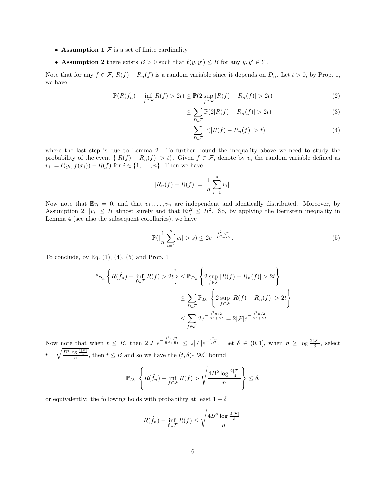- Assumption 1  $\mathcal F$  is a set of finite cardinality
- Assumption 2 there exists  $B > 0$  such that  $\ell(y, y') \leq B$  for any  $y, y' \in Y$ .

Note that for any  $f \in \mathcal{F}$ ,  $R(f) - R_n(f)$  is a random variable since it depends on  $D_n$ . Let  $t > 0$ , by Prop. 1, we have

$$
\mathbb{P}(R(\hat{f}_n) - \inf_{f \in \mathcal{F}} R(f) > 2t) \le \mathbb{P}(2 \sup_{f \in \mathcal{F}} |R(f) - R_n(f)| > 2t) \tag{2}
$$

$$
\leq \sum_{f \in \mathcal{F}} \mathbb{P}(2|R(f) - R_n(f)| > 2t) \tag{3}
$$

$$
= \sum_{f \in \mathcal{F}} \mathbb{P}(|R(f) - R_n(f)| > t) \tag{4}
$$

where the last step is due to Lemma 2. To further bound the inequality above we need to study the probability of the event  $\{|R(f) - R_n(f)| > t\}$ . Given  $f \in \mathcal{F}$ , denote by  $v_i$  the random variable defined as  $v_i := \ell(y_i, f(x_i)) - R(f)$  for  $i \in \{1, \ldots, n\}$ . Then we have

$$
|R_n(f) - R(f)| = |\frac{1}{n} \sum_{i=1}^n v_i|.
$$

Now note that  $\mathbb{E}v_i = 0$ , and that  $v_1, \ldots, v_n$  are independent and identically distributed. Moreover, by Assumption 2,  $|v_i| \leq B$  almost surely and that  $\mathbb{E}v_i^2 \leq B^2$ . So, by applying the Bernstein inequality in Lemma 4 (see also the subsequent corollaries), we have

$$
\mathbb{P}(|\frac{1}{n}\sum_{i=1}^{n}v_i| > s) \le 2e^{-\frac{t^2n/2}{B^2+Bt}}.\tag{5}
$$

To conclude, by Eq.  $(1)$ ,  $(4)$ ,  $(5)$  and Prop. 1

$$
\mathbb{P}_{D_n}\left\{R(\hat{f}_n) - \inf_{f \in \mathcal{F}} R(f) > 2t\right\} \leq \mathbb{P}_{D_n}\left\{2 \sup_{f \in \mathcal{F}} |R(f) - R_n(f)| > 2t\right\}
$$

$$
\leq \sum_{f \in \mathcal{F}} \mathbb{P}_{D_n}\left\{2 \sup_{f \in \mathcal{F}} |R(f) - R_n(f)| > 2t\right\}
$$

$$
\leq \sum_{f \in \mathcal{F}} 2e^{-\frac{t^2 n/2}{B^2 + Bt}} = 2|\mathcal{F}|e^{-\frac{t^2 n/2}{B^2 + Bt}}.
$$

Now note that when  $t \leq B$ , then  $2|\mathcal{F}|e^{-\frac{t^2n/2}{B^2+Bt}} \leq 2|\mathcal{F}|e^{-\frac{t^2n}{B^2}}$ . Let  $\delta \in (0,1]$ , when  $n \geq \log \frac{2|\mathcal{F}|}{\delta}$ , select  $t = \sqrt{\frac{B^2 \log \frac{2|\mathcal{F}|}{\delta}}{n}}$ , then  $t \leq B$  and so we have the  $(t, \delta)$ -PAC bound

$$
\mathbb{P}_{D_n}\left\{R(\hat{f}_n) - \inf_{f \in \mathcal{F}} R(f) > \sqrt{\frac{4B^2\log\frac{2|\mathcal{F}|}{\delta}}{n}}\right\} \le \delta,
$$

or equivalently: the following holds with probability at least  $1 - \delta$ 

$$
R(\hat{f}_n) - \inf_{f \in \mathcal{F}} R(f) \le \sqrt{\frac{4B^2 \log \frac{2|\mathcal{F}|}{\delta}}{n}}.
$$